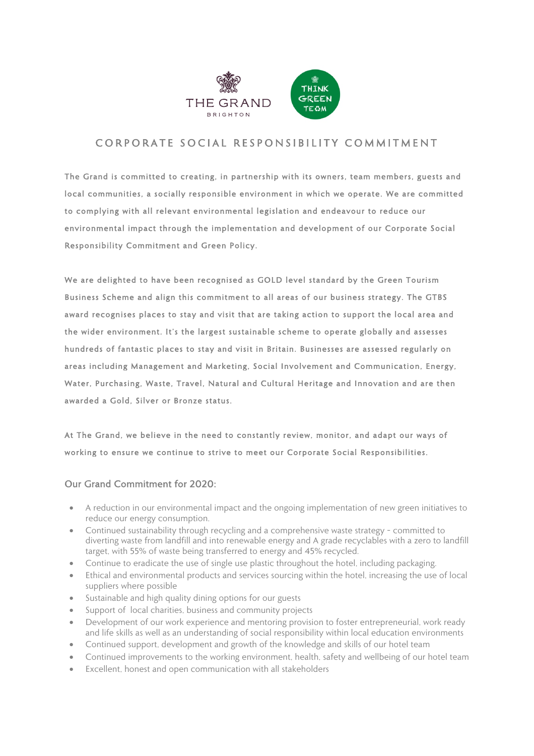

## CORPORATE SOCIAL RESPONSIBILITY COMMITMENT

The Grand is committed to creating, in partnership with its owners, team members, guests and local communities, a socially responsible environment in which we operate. We are committed to complying with all relevant environmental legislation and endeavour to reduce our environmental impact through the implementation and development of our Corporate Social Responsibility Commitment and Green Policy.

We are delighted to have been recognised as GOLD level standard by the Green Tourism Business Scheme and align this commitment to all areas of our business strategy. The GTBS award recognises places to stay and visit that are taking action to support the local area and the wider environment. It's the largest sustainable scheme to operate globally and assesses hundreds of fantastic places to stay and visit in Britain. Businesses are assessed regularly on areas including Management and Marketing, Social Involvement and Communication, Energy, Water, Purchasing, Waste, Travel, Natural and Cultural Heritage and Innovation and are then awarded a Gold, Silver or Bronze status.

At The Grand, we believe in the need to constantly review, monitor, and adapt our ways of working to ensure we continue to strive to meet our Corporate Social Responsibilities.

## Our Grand Commitment for 2020:

- A reduction in our environmental impact and the ongoing implementation of new green initiatives to reduce our energy consumption.
- Continued sustainability through recycling and a comprehensive waste strategy committed to diverting waste from landfill and into renewable energy and A grade recyclables with a zero to landfill target, with 55% of waste being transferred to energy and 45% recycled.
- Continue to eradicate the use of single use plastic throughout the hotel, including packaging.
- Ethical and environmental products and services sourcing within the hotel, increasing the use of local suppliers where possible
- Sustainable and high quality dining options for our guests
- Support of local charities, business and community projects
- Development of our work experience and mentoring provision to foster entrepreneurial, work ready and life skills as well as an understanding of social responsibility within local education environments
- Continued support, development and growth of the knowledge and skills of our hotel team
- Continued improvements to the working environment, health, safety and wellbeing of our hotel team
- Excellent, honest and open communication with all stakeholders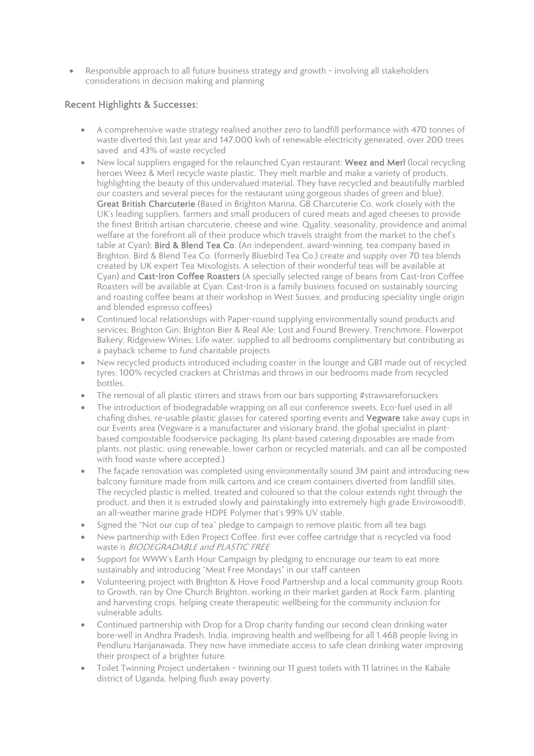• Responsible approach to all future business strategy and growth – involving all stakeholders considerations in decision making and planning

## Recent Highlights & Successes:

- A comprehensive waste strategy realised another zero to landfill performance with 470 tonnes of waste diverted this last year and 147,000 kwh of renewable electricity generated, over 200 trees saved and 43% of waste recycled
- New local suppliers engaged for the relaunched Cyan restaurant; Weez and Merl (local recycling heroes Weez & Merl recycle waste plastic. They melt marble and make a variety of products, highlighting the beauty of this undervalued material. They have recycled and beautifully marbled our coasters and several pieces for the restaurant using gorgeous shades of green and blue); Great British Charcuterie (Based in Brighton Marina, GB Charcuterie Co. work closely with the UK's leading suppliers, farmers and small producers of cured meats and aged cheeses to provide the finest British artisan charcuterie, cheese and wine. Quality, seasonality, providence and animal welfare at the forefront all of their produce which travels straight from the market to the chef's table at Cyan); Bird & Blend Tea Co. (An independent, award-winning, tea company based in Brighton, Bird & Blend Tea Co. (formerly Bluebird Tea Co.) create and supply over 70 tea blends created by UK expert Tea Mixologists. A selection of their wonderful teas will be available at Cyan) and Cast-Iron Coffee Roasters (A specially selected range of beans from Cast-Iron Coffee Roasters will be available at Cyan. Cast-Iron is a family business focused on sustainably sourcing and roasting coffee beans at their workshop in West Sussex, and producing speciality single origin and blended espresso coffees)
- Continued local relationships with Paper-round supplying environmentally sound products and services; Brighton Gin; Brighton Bier & Real Ale; Lost and Found Brewery, Trenchmore, Flowerpot Bakery; Ridgeview Wines; Life water, supplied to all bedrooms complimentary but contributing as a payback scheme to fund charitable projects
- New recycled products introduced including coaster in the lounge and GB1 made out of recycled tyres; 100% recycled crackers at Christmas and throws in our bedrooms made from recycled bottles.
- The removal of all plastic stirrers and straws from our bars supporting #strawsareforsuckers
- The introduction of biodegradable wrapping on all our conference sweets, Eco-fuel used in all chafing dishes, re-usable plastic glasses for catered sporting events and Vegware take away cups in our Events area (Vegware is a manufacturer and visionary brand, the global specialist in plantbased compostable foodservice packaging. Its plant-based catering disposables are made from plants, not plastic, using renewable, lower carbon or recycled materials, and can all be composted with food waste where accepted.)
- The façade renovation was completed using environmentally sound 3M paint and introducing new balcony furniture made from milk cartons and ice cream containers diverted from landfill sites. The recycled plastic is melted, treated and coloured so that the colour extends right through the product, and then it is extruded slowly and painstakingly into extremely high grade Envirowood®, an all-weather marine grade HDPE Polymer that's 99% UV stable.
- Signed the "Not our cup of tea" pledge to campaign to remove plastic from all tea bags
- New partnership with Eden Project Coffee, first ever coffee cartridge that is recycled via food waste is BIODEGRADABLE and PLASTIC FREE
- Support for WWW's Earth Hour Campaign by pledging to encourage our team to eat more sustainably and introducing "Meat Free Mondays" in our staff canteen
- Volunteering project with Brighton & Hove Food Partnership and a local community group Roots to Growth, ran by One Church Brighton, working in their market garden at Rock Farm, planting and harvesting crops, helping create therapeutic wellbeing for the community inclusion for vulnerable adults.
- Continued partnership with Drop for a Drop charity funding our second clean drinking water bore-well in Andhra Pradesh, India, improving health and wellbeing for all 1,468 people living in Pendluru Harijanawada. They now have immediate access to safe clean drinking water improving their prospect of a brighter future.
- Toilet Twinning Project undertaken twinning our 11 guest toilets with 11 latrines in the Kabale district of Uganda, helping flush away poverty.